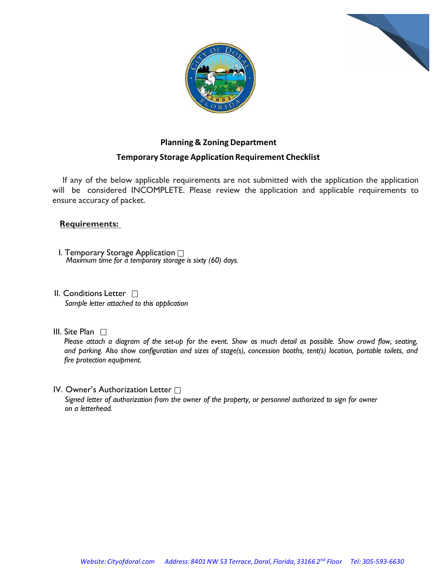



## **Planning & Zoning Department**

## **Temporary Storage Application Requirement Checklist**

If any of the below applicable requirements are not submitted with the application the application will be considered INCOMPLETE. Please review the application and applicable requirements to ensure accuracy of packet.

## **Requirements:**

- I. Temporary Storage Application *Maximum time for a temporary storage is sixty (60) days.*
- II. Conditions Letter □ *Sample letter attached to this application*
- III. Site Plan  $\Box$

Please attach a diagram of the set-up for the event. Show as much detail as possible. Show crowd flow, seating, and parking. Also show configuration and sizes of stage(s), concession booths, tent(s) location, portable toilets, and *fire protection equipment.*

IV. Owner's Authorization Letter  $\Box$ *Signed letter of authorization from the owner of the property, or personnel authorized to sign for owner on a letterhead.*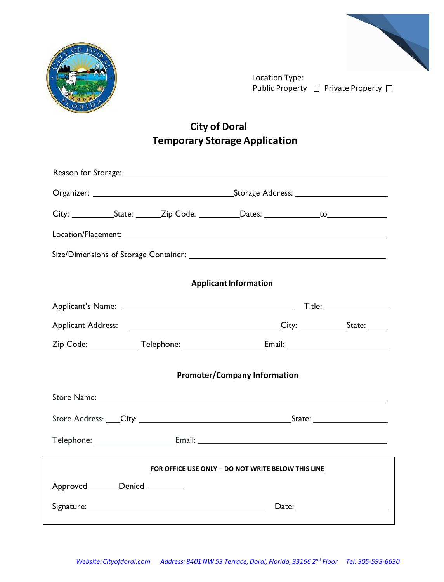



Location Type: Public Property  $\Box$  Private Property  $\Box$ 

## **City of Doral Temporary Storage Application**

| Reason for Storage: and the storage of the state of the state of the state of the state of the state of the state of the state of the state of the state of the state of the state of the state of the state of the state of t |                                                                                                                                                                                                                                |  |  |
|--------------------------------------------------------------------------------------------------------------------------------------------------------------------------------------------------------------------------------|--------------------------------------------------------------------------------------------------------------------------------------------------------------------------------------------------------------------------------|--|--|
|                                                                                                                                                                                                                                |                                                                                                                                                                                                                                |  |  |
|                                                                                                                                                                                                                                |                                                                                                                                                                                                                                |  |  |
|                                                                                                                                                                                                                                |                                                                                                                                                                                                                                |  |  |
|                                                                                                                                                                                                                                |                                                                                                                                                                                                                                |  |  |
| <b>Applicant Information</b>                                                                                                                                                                                                   |                                                                                                                                                                                                                                |  |  |
|                                                                                                                                                                                                                                |                                                                                                                                                                                                                                |  |  |
|                                                                                                                                                                                                                                |                                                                                                                                                                                                                                |  |  |
|                                                                                                                                                                                                                                |                                                                                                                                                                                                                                |  |  |
| <b>Promoter/Company Information</b>                                                                                                                                                                                            |                                                                                                                                                                                                                                |  |  |
|                                                                                                                                                                                                                                |                                                                                                                                                                                                                                |  |  |
|                                                                                                                                                                                                                                | Store Address: City: City: City: City: City: City: Change and State: Community: Community: Community: Community: Community: Community: Community: Community: Community: Community: Community: Community: Community: Community: |  |  |
|                                                                                                                                                                                                                                |                                                                                                                                                                                                                                |  |  |
| FOR OFFICE USE ONLY - DO NOT WRITE BELOW THIS LINE                                                                                                                                                                             |                                                                                                                                                                                                                                |  |  |
| Approved Denied                                                                                                                                                                                                                |                                                                                                                                                                                                                                |  |  |
|                                                                                                                                                                                                                                |                                                                                                                                                                                                                                |  |  |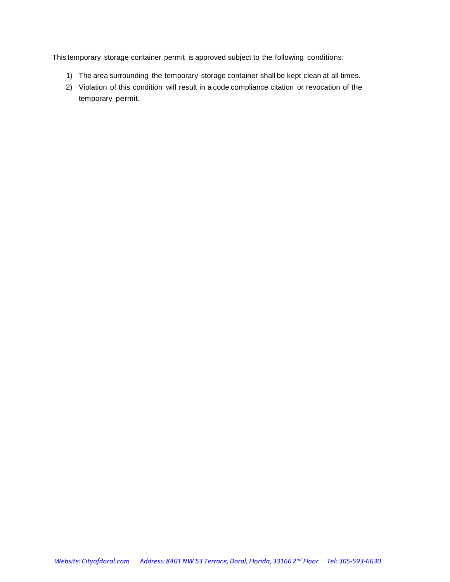This temporary storage container permit is approved subject to the following conditions:

- 1) The area surrounding the temporary storage container shall be kept clean at all times.
- 2) Violation of this condition will result in a code compliance citation or revocation of the temporary permit.